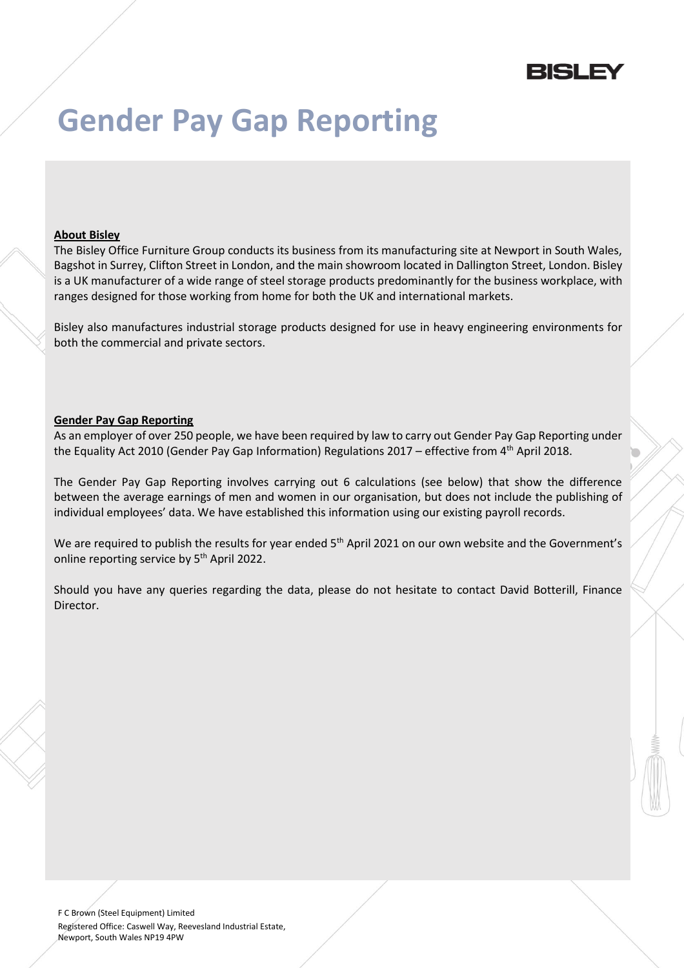

## **Gender Pay Gap Reporting**

## **About Bisley**

The Bisley Office Furniture Group conducts its business from its manufacturing site at Newport in South Wales, Bagshot in Surrey, Clifton Street in London, and the main showroom located in Dallington Street, London. Bisley is a UK manufacturer of a wide range of steel storage products predominantly for the business workplace, with ranges designed for those working from home for both the UK and international markets.

Bisley also manufactures industrial storage products designed for use in heavy engineering environments for both the commercial and private sectors.

## **Gender Pay Gap Reporting**

As an employer of over 250 people, we have been required by law to carry out Gender Pay Gap Reporting under the Equality Act 2010 (Gender Pay Gap Information) Regulations 2017 – effective from 4<sup>th</sup> April 2018.

The Gender Pay Gap Reporting involves carrying out 6 calculations (see below) that show the difference between the average earnings of men and women in our organisation, but does not include the publishing of individual employees' data. We have established this information using our existing payroll records.

We are required to publish the results for year ended 5<sup>th</sup> April 2021 on our own website and the Government's online reporting service by 5<sup>th</sup> April 2022.

Should you have any queries regarding the data, please do not hesitate to contact David Botterill, Finance Director.

F C Brown (Steel Equipment) Limited Registered Office: Caswell Way, Reevesland Industrial Estate, Newport, South Wales NP19 4PW